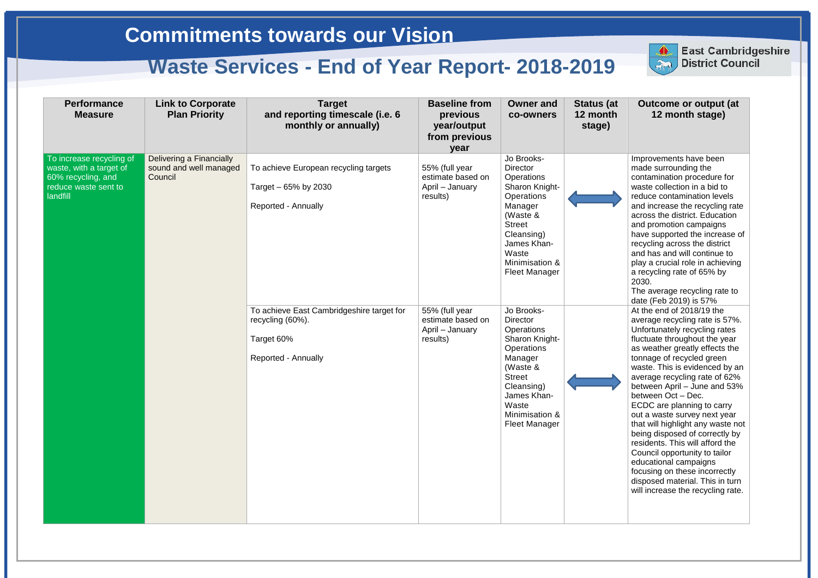| <b>Performance</b><br><b>Measure</b>                                                                                 | <b>Link to Corporate</b><br><b>Plan Priority</b>              | <b>Target</b><br>and reporting timescale (i.e. 6<br>monthly or annually)                           | <b>Baseline from</b><br>previous<br>year/output<br>from previous<br>year | <b>Owner and</b><br>co-owners                                                                                                                                                                       | <b>Status (at</b><br>12 month<br>stage) |
|----------------------------------------------------------------------------------------------------------------------|---------------------------------------------------------------|----------------------------------------------------------------------------------------------------|--------------------------------------------------------------------------|-----------------------------------------------------------------------------------------------------------------------------------------------------------------------------------------------------|-----------------------------------------|
| To increase recycling of<br>waste, with a target of<br>60% recycling, and<br>reduce waste sent to<br><b>landfill</b> | Delivering a Financially<br>sound and well managed<br>Council | To achieve European recycling targets<br>Target - 65% by 2030<br><b>Reported - Annually</b>        | 55% (full year<br>estimate based on<br>April - January<br>results)       | Jo Brooks-<br><b>Director</b><br>Operations<br>Sharon Knight-<br>Operations<br>Manager<br>(Waste &<br><b>Street</b><br>Cleansing)<br>James Khan-<br>Waste<br>Minimisation &<br><b>Fleet Manager</b> |                                         |
|                                                                                                                      |                                                               | To achieve East Cambridgeshire target for<br>recycling (60%).<br>Target 60%<br>Reported - Annually | 55% (full year<br>estimate based on<br>April - January<br>results)       | Jo Brooks-<br><b>Director</b><br>Operations<br>Sharon Knight-<br>Operations<br>Manager<br>(Waste &<br><b>Street</b><br>Cleansing)<br>James Khan-<br>Waste<br>Minimisation &<br><b>Fleet Manager</b> |                                         |



**East Cambridgeshire District Council** 

ECDC are planning to carry out a waste survey next year that will highlight any waste not being disposed of correctly by residents. This will afford the Council opportunity to tailor educational campaigns focusing on these incorrectly disposed material. This in turn will increase the recycling rate.

Improvements have been made surrounding the contamination procedure for waste collection in a bid to reduce contamination levels and increase the recycling rate across the district. Education and promotion campaigns have supported the increase of recycling across the district and has and will continue to play a crucial role in achieving a recycling rate of 65% by 2030.

The average recycling rate to date (Feb 2019) is 57% At the end of 2018/19 the average recycling rate is 57%. Unfortunately recycling rates fluctuate throughout the year as weather greatly effects the tonnage of recycled green waste. This is evidenced by an average recycling rate of 62% between April – June and 53% between Oct – Dec.

**East Cambridgeshire District Council**

# **Commitments towards our Vision**

## **Waste Services - End of Year Report- 2018-2019**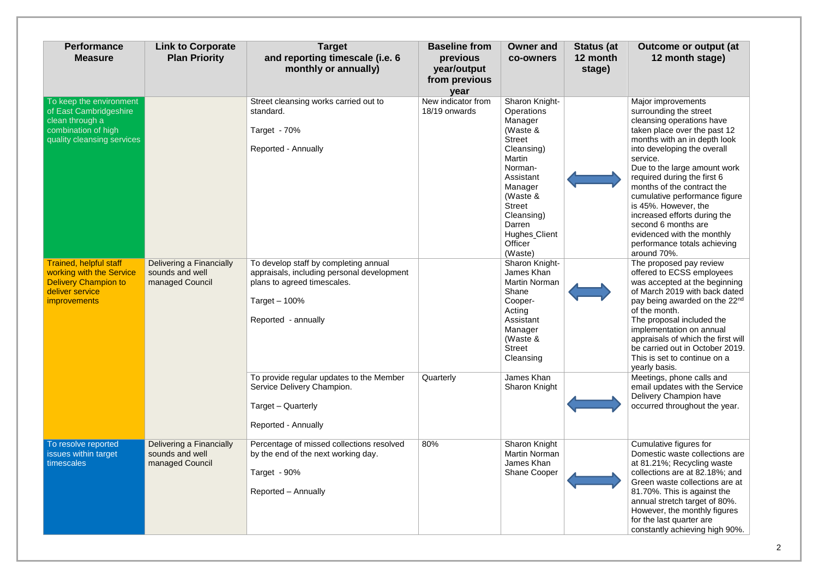| <b>Performance</b><br><b>Measure</b>                                                                                        | <b>Link to Corporate</b><br><b>Plan Priority</b>               | <b>Target</b><br>and reporting timescale (i.e. 6<br>monthly or annually)                                                                                    | <b>Baseline from</b><br>previous<br>year/output<br>from previous<br>year | <b>Owner and</b><br><b>co-owners</b>                                                                                                                                                                                               | <b>Status (at</b><br>12 month<br>stage) |
|-----------------------------------------------------------------------------------------------------------------------------|----------------------------------------------------------------|-------------------------------------------------------------------------------------------------------------------------------------------------------------|--------------------------------------------------------------------------|------------------------------------------------------------------------------------------------------------------------------------------------------------------------------------------------------------------------------------|-----------------------------------------|
| To keep the environment<br>of East Cambridgeshire<br>clean through a<br>combination of high<br>quality cleansing services   |                                                                | Street cleansing works carried out to<br>standard.<br>Target - 70%<br>Reported - Annually                                                                   | New indicator from<br>18/19 onwards                                      | Sharon Knight-<br>Operations<br>Manager<br>(Waste &<br><b>Street</b><br>Cleansing)<br>Martin<br>Norman-<br>Assistant<br>Manager<br>(Waste &<br><b>Street</b><br>Cleansing)<br>Darren<br><b>Hughes</b> Client<br>Officer<br>(Waste) |                                         |
| Trained, helpful staff<br>working with the Service<br><b>Delivery Champion to</b><br>deliver service<br><i>improvements</i> | Delivering a Financially<br>sounds and well<br>managed Council | To develop staff by completing annual<br>appraisals, including personal development<br>plans to agreed timescales.<br>Target $-100%$<br>Reported - annually |                                                                          | Sharon Knight-<br>James Khan<br><b>Martin Norman</b><br>Shane<br>Cooper-<br>Acting<br>Assistant<br>Manager<br>(Waste &<br><b>Street</b><br>Cleansing                                                                               |                                         |
|                                                                                                                             |                                                                | To provide regular updates to the Member<br>Service Delivery Champion.<br>Target - Quarterly<br>Reported - Annually                                         | Quarterly                                                                | James Khan<br>Sharon Knight                                                                                                                                                                                                        |                                         |
| To resolve reported<br>issues within target<br>timescales                                                                   | Delivering a Financially<br>sounds and well<br>managed Council | Percentage of missed collections resolved<br>by the end of the next working day.<br>Target - 90%<br>Reported - Annually                                     | 80%                                                                      | Sharon Knight<br><b>Martin Norman</b><br>James Khan<br><b>Shane Cooper</b>                                                                                                                                                         |                                         |

Major improvements surrounding the street cleansing operations have taken place over the past 12 months with an in depth look into developing the overall service. Due to the large amount work required during the first 6 months of the contract the cumulative performance figure is 45%. However, the increased efforts during the second 6 months are evidenced with the monthly performance totals achieving around 70%. The proposed pay review offered to ECSS employees was accepted at the beginning of March 2019 with back dated pay being awarded on the 22<sup>nd</sup> of the month. The proposal included the implementation on annual appraisals of which the first will be carried out in October 2019. This is set to continue on a yearly basis. Meetings, phone calls and email updates with the Service Delivery Champion have occurred throughout the year. Cumulative figures for Domestic waste collections are at 81.21%; Recycling waste collections are at 82.18%; and Green waste collections are at 81.70%. This is against the annual stretch target of 80%. However, the monthly figures for the last quarter are constantly achieving high 90%.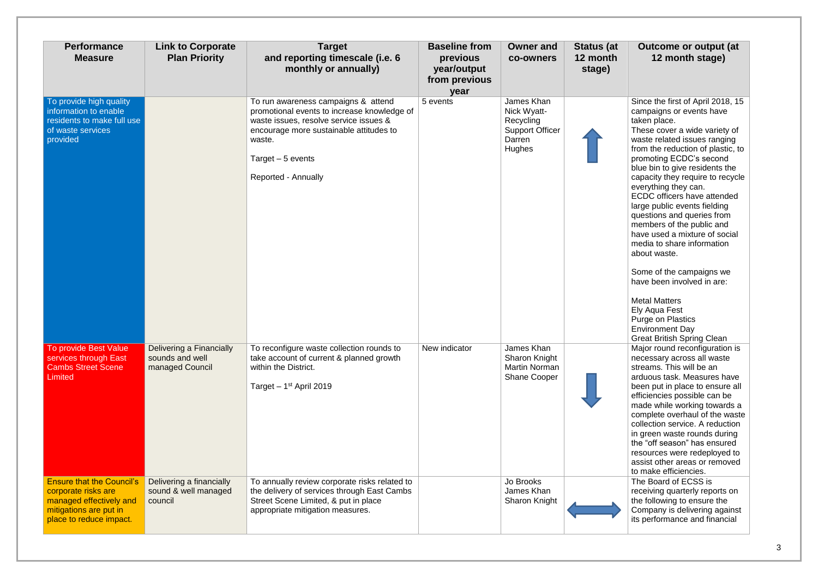| <b>Performance</b><br><b>Measure</b>                                                                                                    | <b>Link to Corporate</b><br><b>Plan Priority</b>               | <b>Target</b><br>and reporting timescale (i.e. 6<br>monthly or annually)                                                                                                                                                      | <b>Baseline from</b><br>previous<br>year/output<br>from previous<br>year | <b>Owner and</b><br>co-owners                                                        | <b>Status (at</b><br>12 month<br>stage) |
|-----------------------------------------------------------------------------------------------------------------------------------------|----------------------------------------------------------------|-------------------------------------------------------------------------------------------------------------------------------------------------------------------------------------------------------------------------------|--------------------------------------------------------------------------|--------------------------------------------------------------------------------------|-----------------------------------------|
| To provide high quality<br>information to enable<br>residents to make full use<br>of waste services<br>provided                         |                                                                | To run awareness campaigns & attend<br>promotional events to increase knowledge of<br>waste issues, resolve service issues &<br>encourage more sustainable attitudes to<br>waste.<br>Target - 5 events<br>Reported - Annually | 5 events                                                                 | James Khan<br>Nick Wyatt-<br>Recycling<br><b>Support Officer</b><br>Darren<br>Hughes |                                         |
| To provide Best Value<br>services through East<br><b>Cambs Street Scene</b><br>Limited                                                  | Delivering a Financially<br>sounds and well<br>managed Council | To reconfigure waste collection rounds to<br>take account of current & planned growth<br>within the District.<br>Target $-1st$ April 2019                                                                                     | New indicator                                                            | James Khan<br><b>Sharon Knight</b><br><b>Martin Norman</b><br><b>Shane Cooper</b>    |                                         |
| <b>Ensure that the Council's</b><br>corporate risks are<br>managed effectively and<br>mitigations are put in<br>place to reduce impact. | Delivering a financially<br>sound & well managed<br>council    | To annually review corporate risks related to<br>the delivery of services through East Cambs<br>Street Scene Limited, & put in place<br>appropriate mitigation measures.                                                      |                                                                          | Jo Brooks<br>James Khan<br><b>Sharon Knight</b>                                      |                                         |

Since the first of April 2018, 15 campaigns or events have taken place. These cover a wide variety of waste related issues ranging from the reduction of plastic, to promoting ECDC's second blue bin to give residents the capacity they require to recycle everything they can. ECDC officers have attended large public events fielding questions and queries from members of the public and have used a mixture of social media to share information about waste. Some of the campaigns we have been involved in are: Metal Matters Ely Aqua Fest Purge on Plastics Environment Day Great British Spring Clean Major round reconfiguration is necessary across all waste streams. This will be an arduous task. Measures have been put in place to ensure all efficiencies possible can be made while working towards a complete overhaul of the waste collection service. A reduction in green waste rounds during the "off season" has ensured resources were redeployed to assist other areas or removed to make efficiencies. The Board of ECSS is receiving quarterly reports on the following to ensure the Company is delivering against its performance and financial